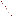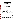## Kansas Steps Back from the Clean Water Act: The National Implications of Substitute for Senate Bill 20

*Abstract for Proposed Presentation to the United States Environmental Protection Agency for their National Symposium: Designating Attainable Uses for the Nation's Waters June 3-4, 2002, Marriott Wardman Park Hotel, Washington, D.C.* 

*by Charles M. Benjamin, Ph.D., J.D. Attorney at Law and Legislative/Conservation Coordinator*

**Kansas Chapter of the Sierra Club P.O. Box 1642, Lawrence, Kansas 66044-8642** *(785) 841-5902; (785) 841-5922 fax; (785) 550-4876 cell phone cmbenjamin@msn.com*

What Substitute For Senate Bill 204 Does

Substitute for Senate Bill 204, passed by the Kansas legislature and signed by the Kansas Governor in 2001, basically does two things.

 First it sets up a regime to "declassify" streams in Kansas. At a minimum a stream in Kansas would not be a stream unless it had a ten-year median stream flow equal to or in excess of 1 cubic foot per second. For those streams that DO NOT meet this minimum stream flow requirement the Kansas Department of Health and Environment (KDHE) must determine, by December 31, 2005, if threatened and endangered aquatic species actually exist and/or that pooling of water during periods of zero flow provide important refuges for aquatic life and permits biological recolonization in intermittently flowing segments.

KDHE must conduct cost/benefit analyses taking into account the economic and social impact of classifying stream segments. These analyses must indicate that the benefits of classifying these stream segments outweigh the costs of classifying these stream segments. The exception to these requirements would be at a point of discharge on a stream segment and downstream from where KDHE has issued an NPDES permit - however, this would NOT include NPDES permits for confined animal feeding operations.

Ephemeral streams, grass, vegetative or other waterways, culverts, or ditches, unless they had an NPDES point source discharger, would NOT be classified as stream segments. This is in spite of the fact that Federal courts have consistently said that even "dry arroyos" are "waters of the United States for purposes of the Clean Water Act."

KDHE must conduct Use Attainability Analyses (UAAs) on almost every stream in Kansas by Oct. 31, 2005. The purpose of these UAAs is to determine if the stream segments CAN support a contact recreation designation, unlike EPA's interpretation of the Clean Water Act that requires the state to show that stream segments CANNOT support primary contact recreation criteria.